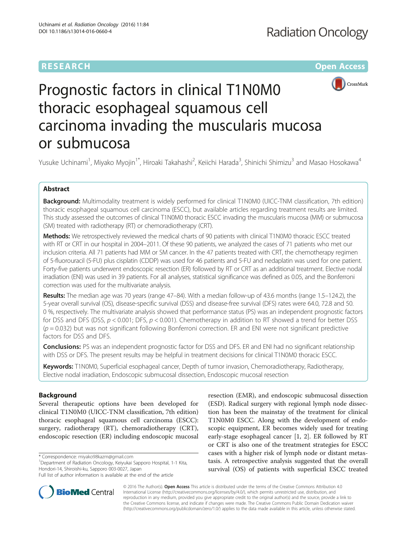## **RESEARCH CHE Open Access**



# Prognostic factors in clinical T1N0M0 thoracic esophageal squamous cell carcinoma invading the muscularis mucosa or submucosa

Yusuke Uchinami<sup>1</sup>, Miyako Myojin<sup>1\*</sup>, Hiroaki Takahashi<sup>2</sup>, Keiichi Harada<sup>3</sup>, Shinichi Shimizu<sup>3</sup> and Masao Hosokawa<sup>4</sup>

### Abstract

Background: Multimodality treatment is widely performed for clinical T1N0M0 (UICC-TNM classification, 7th edition) thoracic esophageal squamous cell carcinoma (ESCC), but available articles regarding treatment results are limited. This study assessed the outcomes of clinical T1N0M0 thoracic ESCC invading the muscularis mucosa (MM) or submucosa (SM) treated with radiotherapy (RT) or chemoradiotherapy (CRT).

Methods: We retrospectively reviewed the medical charts of 90 patients with clinical T1N0M0 thoracic ESCC treated with RT or CRT in our hospital in 2004–2011. Of these 90 patients, we analyzed the cases of 71 patients who met our inclusion criteria. All 71 patients had MM or SM cancer. In the 47 patients treated with CRT, the chemotherapy regimen of 5-fluorouracil (5-FU) plus cisplatin (CDDP) was used for 46 patients and 5-FU and nedaplatin was used for one patient. Forty-five patients underwent endoscopic resection (ER) followed by RT or CRT as an additional treatment. Elective nodal irradiation (ENI) was used in 39 patients. For all analyses, statistical significance was defined as 0.05, and the Bonferroni correction was used for the multivariate analysis.

Results: The median age was 70 years (range 47–84). With a median follow-up of 43.6 months (range 1.5–124.2), the 5-year overall survival (OS), disease-specific survival (DSS) and disease-free survival (DFS) rates were 64.0, 72.8 and 50. 0 %, respectively. The multivariate analysis showed that performance status (PS) was an independent prognostic factors for DSS and DFS (DSS,  $p < 0.001$ ; DFS,  $p < 0.001$ ). Chemotherapy in addition to RT showed a trend for better DSS  $(p = 0.032)$  but was not significant following Bonferroni correction. ER and ENI were not significant predictive factors for DSS and DFS.

**Conclusions:** PS was an independent prognostic factor for DSS and DFS. ER and ENI had no significant relationship with DSS or DFS. The present results may be helpful in treatment decisions for clinical T1N0M0 thoracic ESCC.

Keywords: T1N0M0, Superficial esophageal cancer, Depth of tumor invasion, Chemoradiotherapy, Radiotherapy, Elective nodal irradiation, Endoscopic submucosal dissection, Endoscopic mucosal resection

### Background

Several therapeutic options have been developed for clinical T1N0M0 (UICC-TNM classification, 7th edition) thoracic esophageal squamous cell carcinoma (ESCC): surgery, radiotherapy (RT), chemoradiotherapy (CRT), endoscopic resection (ER) including endoscopic mucosal

<sup>1</sup>Department of Radiation Oncology, Keiyukai Sapporo Hospital, 1-1 Kita, Hondori-14, Shiroishi-ku, Sapporo 003-0027, Japan

Full list of author information is available at the end of the article



**BioMed Central** 

© 2016 The Author(s). Open Access This article is distributed under the terms of the Creative Commons Attribution 4.0 International License [\(http://creativecommons.org/licenses/by/4.0/](http://creativecommons.org/licenses/by/4.0/)), which permits unrestricted use, distribution, and reproduction in any medium, provided you give appropriate credit to the original author(s) and the source, provide a link to the Creative Commons license, and indicate if changes were made. The Creative Commons Public Domain Dedication waiver [\(http://creativecommons.org/publicdomain/zero/1.0/](http://creativecommons.org/publicdomain/zero/1.0/)) applies to the data made available in this article, unless otherwise stated.

<sup>\*</sup> Correspondence: [miyako98kazm@gmail.com](mailto:miyako98kazm@gmail.com) <sup>1</sup>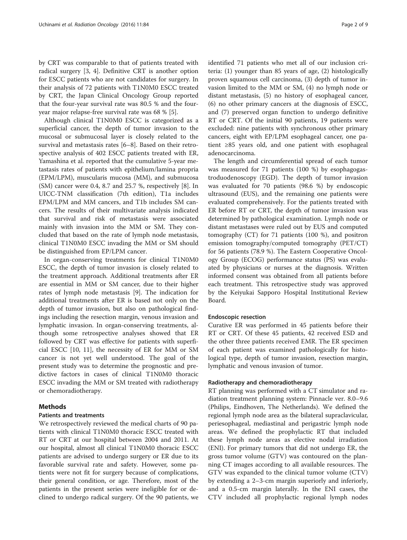by CRT was comparable to that of patients treated with radical surgery [\[3](#page-7-0), [4](#page-7-0)]. Definitive CRT is another option for ESCC patients who are not candidates for surgery. In their analysis of 72 patients with T1N0M0 ESCC treated by CRT, the Japan Clinical Oncology Group reported that the four-year survival rate was 80.5 % and the fouryear major relapse-free survival rate was 68 % [\[5](#page-7-0)].

Although clinical T1N0M0 ESCC is categorized as a superficial cancer, the depth of tumor invasion to the mucosal or submucosal layer is closely related to the survival and metastasis rates [\[6](#page-7-0)–[8\]](#page-7-0). Based on their retrospective analysis of 402 ESCC patients treated with ER, Yamashina et al. reported that the cumulative 5-year metastasis rates of patients with epithelium/lamina propria (EPM/LPM), muscularis mucosa (MM), and submucosa (SM) cancer were 0.4, 8.7 and 25.7 %, respectively [[8](#page-7-0)]. In UICC-TNM classification (7th edition), T1a includes EPM/LPM and MM cancers, and T1b includes SM cancers. The results of their multivariate analysis indicated that survival and risk of metastasis were associated mainly with invasion into the MM or SM. They concluded that based on the rate of lymph node metastasis, clinical T1N0M0 ESCC invading the MM or SM should be distinguished from EP/LPM cancer.

In organ-conserving treatments for clinical T1N0M0 ESCC, the depth of tumor invasion is closely related to the treatment approach. Additional treatments after ER are essential in MM or SM cancer, due to their higher rates of lymph node metastasis [[9\]](#page-7-0). The indication for additional treatments after ER is based not only on the depth of tumor invasion, but also on pathological findings including the resection margin, venous invasion and lymphatic invasion. In organ-conserving treatments, although some retrospective analyses showed that ER followed by CRT was effective for patients with superficial ESCC [[10, 11\]](#page-7-0), the necessity of ER for MM or SM cancer is not yet well understood. The goal of the present study was to determine the prognostic and predictive factors in cases of clinical T1N0M0 thoracic ESCC invading the MM or SM treated with radiotherapy or chemoradiotherapy.

#### Methods

#### Patients and treatments

We retrospectively reviewed the medical charts of 90 patients with clinical T1N0M0 thoracic ESCC treated with RT or CRT at our hospital between 2004 and 2011. At our hospital, almost all clinical T1N0M0 thoracic ESCC patients are advised to undergo surgery or ER due to its favorable survival rate and safety. However, some patients were not fit for surgery because of complications, their general condition, or age. Therefore, most of the patients in the present series were ineligible for or declined to undergo radical surgery. Of the 90 patients, we identified 71 patients who met all of our inclusion criteria: (1) younger than 85 years of age, (2) histologically proven squamous cell carcinoma, (3) depth of tumor invasion limited to the MM or SM, (4) no lymph node or distant metastasis, (5) no history of esophageal cancer, (6) no other primary cancers at the diagnosis of ESCC, and (7) preserved organ function to undergo definitive RT or CRT. Of the initial 90 patients, 19 patients were excluded: nine patients with synchronous other primary cancers, eight with EP/LPM esophageal cancer, one patient ≥85 years old, and one patient with esophageal adenocarcinoma.

The length and circumferential spread of each tumor was measured for 71 patients (100 %) by esophagogastroduodenoscopy (EGD). The depth of tumor invasion was evaluated for 70 patients (98.6 %) by endoscopic ultrasound (EUS), and the remaining one patients were evaluated comprehensively. For the patients treated with ER before RT or CRT, the depth of tumor invasion was determined by pathological examination. Lymph node or distant metastases were ruled out by EUS and computed tomography (CT) for 71 patients (100 %), and positron emission tomography/computed tomography (PET/CT) for 56 patients (78.9 %). The Eastern Cooperative Oncology Group (ECOG) performance status (PS) was evaluated by physicians or nurses at the diagnosis. Written informed consent was obtained from all patients before each treatment. This retrospective study was approved by the Keiyukai Sapporo Hospital Institutional Review Board.

#### Endoscopic resection

Curative ER was performed in 45 patients before their RT or CRT. Of these 45 patients, 42 received ESD and the other three patients received EMR. The ER specimen of each patient was examined pathologically for histological type, depth of tumor invasion, resection margin, lymphatic and venous invasion of tumor.

#### Radiotherapy and chemoradiotherapy

RT planning was performed with a CT simulator and radiation treatment planning system: Pinnacle ver. 8.0–9.6 (Philips, Eindhoven, The Netherlands). We defined the regional lymph node area as the bilateral supraclavicular, periesophageal, mediastinal and perigastric lymph node areas. We defined the prophylactic RT that included these lymph node areas as elective nodal irradiation (ENI). For primary tumors that did not undergo ER, the gross tumor volume (GTV) was contoured on the planning CT images according to all available resources. The GTV was expanded to the clinical tumor volume (CTV) by extending a 2–3-cm margin superiorly and inferiorly, and a 0.5-cm margin laterally. In the ENI cases, the CTV included all prophylactic regional lymph nodes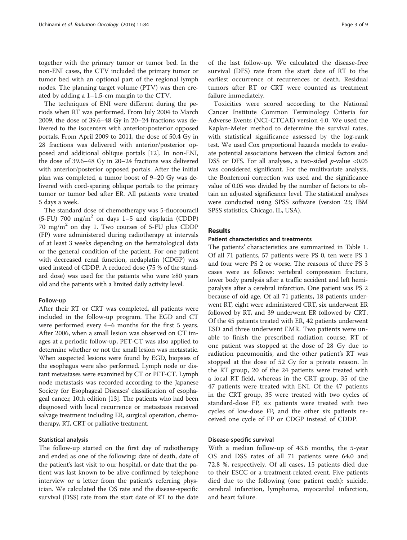together with the primary tumor or tumor bed. In the non-ENI cases, the CTV included the primary tumor or tumor bed with an optional part of the regional lymph nodes. The planning target volume (PTV) was then created by adding a 1–1.5-cm margin to the CTV.

The techniques of ENI were different during the periods when RT was performed. From July 2004 to March 2009, the dose of 39.6–48 Gy in 20–24 fractions was delivered to the isocenters with anterior/posterior opposed portals. From April 2009 to 2011, the dose of 50.4 Gy in 28 fractions was delivered with anterior/posterior opposed and additional oblique portals [[12\]](#page-7-0). In non-ENI, the dose of 39.6–48 Gy in 20–24 fractions was delivered with anterior/posterior opposed portals. After the initial plan was completed, a tumor boost of 9–20 Gy was delivered with cord-sparing oblique portals to the primary tumor or tumor bed after ER. All patients were treated 5 days a week.

The standard dose of chemotherapy was 5-fluorouracil  $(5-FU)$  700 mg/m<sup>2</sup> on days 1–5 and cisplatin (CDDP) 70 mg/m<sup>2</sup> on day 1. Two courses of 5-FU plus CDDP (FP) were administered during radiotherapy at intervals of at least 3 weeks depending on the hematological data or the general condition of the patient. For one patient with decreased renal function, nedaplatin (CDGP) was used instead of CDDP. A reduced dose (75 % of the standard dose) was used for the patients who were ≥80 years old and the patients with a limited daily activity level.

#### Follow-up

After their RT or CRT was completed, all patients were included in the follow-up program. The EGD and CT were performed every 4–6 months for the first 5 years. After 2006, when a small lesion was observed on CT images at a periodic follow-up, PET-CT was also applied to determine whether or not the small lesion was metastatic. When suspected lesions were found by EGD, biopsies of the esophagus were also performed. Lymph node or distant metastases were examined by CT or PET-CT. Lymph node metastasis was recorded according to the Japanese Society for Esophageal Diseases' classification of esophageal cancer, 10th edition [[13](#page-7-0)]. The patients who had been diagnosed with local recurrence or metastasis received salvage treatment including ER, surgical operation, chemotherapy, RT, CRT or palliative treatment.

#### Statistical analysis

The follow-up started on the first day of radiotherapy and ended as one of the following: date of death, date of the patient's last visit to our hospital, or date that the patient was last known to be alive confirmed by telephone interview or a letter from the patient's referring physician. We calculated the OS rate and the disease-specific survival (DSS) rate from the start date of RT to the date of the last follow-up. We calculated the disease-free survival (DFS) rate from the start date of RT to the earliest occurrence of recurrences or death. Residual tumors after RT or CRT were counted as treatment failure immediately.

Toxicities were scored according to the National Cancer Institute Common Terminology Criteria for Adverse Events (NCI-CTCAE) version 4.0. We used the Kaplan-Meier method to determine the survival rates, with statistical significance assessed by the log-rank test. We used Cox proportional hazards models to evaluate potential associations between the clinical factors and DSS or DFS. For all analyses, a two-sided  $p$ -value <0.05 was considered significant. For the multivariate analysis, the Bonferroni correction was used and the significance value of 0.05 was divided by the number of factors to obtain an adjusted significance level. The statistical analyses were conducted using SPSS software (version 23; IBM SPSS statistics, Chicago, IL, USA).

#### Results

#### Patient characteristics and treatments

The patients' characteristics are summarized in Table [1](#page-3-0). Of all 71 patients, 57 patients were PS 0, ten were PS 1 and four were PS 2 or worse. The reasons of three PS 3 cases were as follows: vertebral compression fracture, lower body paralysis after a traffic accident and left hemiparalysis after a cerebral infarction. One patient was PS 2 because of old age. Of all 71 patients, 18 patients underwent RT, eight were administered CRT, six underwent ER followed by RT, and 39 underwent ER followed by CRT. Of the 45 patients treated with ER, 42 patients underwent ESD and three underwent EMR. Two patients were unable to finish the prescribed radiation course; RT of one patient was stopped at the dose of 28 Gy due to radiation pneumonitis, and the other patient's RT was stopped at the dose of 52 Gy for a private reason. In the RT group, 20 of the 24 patients were treated with a local RT field, whereas in the CRT group, 35 of the 47 patients were treated with ENI. Of the 47 patients in the CRT group, 35 were treated with two cycles of standard-dose FP, six patients were treated with two cycles of low-dose FP, and the other six patients received one cycle of FP or CDGP instead of CDDP.

#### Disease-specific survival

With a median follow-up of 43.6 months, the 5-year OS and DSS rates of all 71 patients were 64.0 and 72.8 %, respectively. Of all cases, 15 patients died due to their ESCC or a treatment-related event. Five patients died due to the following (one patient each): suicide, cerebral infarction, lymphoma, myocardial infarction, and heart failure.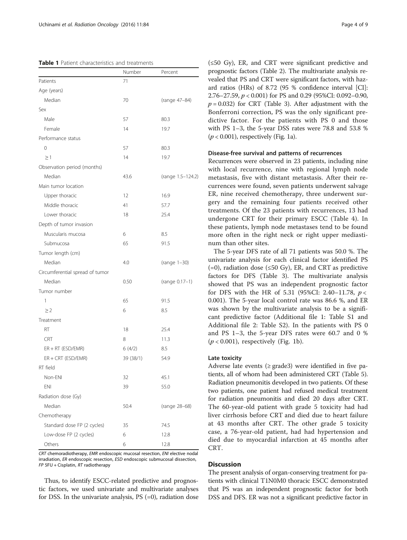<span id="page-3-0"></span>Table 1 Patient characteristics and treatments

|                                 | Number    | Percent           |
|---------------------------------|-----------|-------------------|
| Patients                        | 71        |                   |
| Age (years)                     |           |                   |
| Median                          | 70        | (range 47–84)     |
| Sex                             |           |                   |
| Male                            | 57        | 80.3              |
| Female                          | 14        | 19.7              |
| Performance status              |           |                   |
| 0                               | 57        | 80.3              |
| >1                              | 14        | 19.7              |
| Observation period (months)     |           |                   |
| Median                          | 43.6      | (range 1.5-124.2) |
| Main tumor location             |           |                   |
| Upper thoracic                  | 12        | 16.9              |
| Middle thoracic                 | 41        | 57.7              |
| Lower thoracic                  | 18        | 25.4              |
| Depth of tumor invasion         |           |                   |
| Muscularis mucosa               | 6         | 8.5               |
| Submucosa                       | 65        | 91.5              |
| Tumor length (cm)               |           |                   |
| Median                          | 4.0       | (range 1-30)      |
| Circumferential spread of tumor |           |                   |
| Median                          | 0.50      | (range 0.17-1)    |
| Tumor number                    |           |                   |
| 1                               | 65        | 91.5              |
| $\geq$ 2                        | 6         | 8.5               |
| Treatment                       |           |                   |
| RT                              | 18        | 25.4              |
| <b>CRT</b>                      | 8         | 11.3              |
| $ER + RT$ (ESD/EMR)             | 6(4/2)    | 8.5               |
| $ER + CRT$ (ESD/EMR)            | 39 (38/1) | 54.9              |
| RT field                        |           |                   |
| Non-ENI                         | 32        | 45.1              |
| <b>ENI</b>                      | 39        | 55.0              |
| Radiation dose (Gy)             |           |                   |
| Median                          | 50.4      | (range 28-68)     |
| Chemotherapy                    |           |                   |
| Standard dose FP (2 cycles)     | 35        | 74.5              |
| Low-dose FP (2 cycles)          | 6         | 12.8              |
| Others                          | 6         | 12.8              |

CRT chemoradiotherapy, EMR endoscopic mucosal resection, ENI elective nodal irradiation, ER endoscopic resection, ESD endoscopic submucosal dissection, FP 5FU + Cisplatin, RT radiotherapy

Thus, to identify ESCC-related predictive and prognostic factors, we used univariate and multivariate analyses for DSS. In the univariate analysis,  $PS (=0)$ , radiation dose

(≤50 Gy), ER, and CRT were significant predictive and prognostic factors (Table [2\)](#page-4-0). The multivariate analysis revealed that PS and CRT were significant factors, with hazard ratios (HRs) of 8.72 (95 % confidence interval [CI]: 2.76–27.59, p < 0.001) for PS and 0.29 (95%CI: 0.092–0.90,  $p = 0.032$ ) for CRT (Table [3\)](#page-5-0). After adjustment with the Bonferroni correction, PS was the only significant predictive factor. For the patients with PS 0 and those with PS 1–3, the 5-year DSS rates were 78.8 and 53.8 %  $(p < 0.001)$ , respectively (Fig. 1a).

#### Disease-free survival and patterns of recurrences

Recurrences were observed in 23 patients, including nine with local recurrence, nine with regional lymph node metastasis, five with distant metastasis. After their recurrences were found, seven patients underwent salvage ER, nine received chemotherapy, three underwent surgery and the remaining four patients received other treatments. Of the 23 patients with recurrences, 13 had undergone CRT for their primary ESCC (Table [4\)](#page-6-0). In these patients, lymph node metastases tend to be found more often in the right neck or right upper mediastinum than other sites.

The 5-year DFS rate of all 71 patients was 50.0 %. The univariate analysis for each clinical factor identified PS (=0), radiation dose ( $\leq$ 50 Gy), ER, and CRT as predictive factors for DFS (Table [3](#page-5-0)). The multivariate analysis showed that PS was an independent prognostic factor for DFS with the HR of 5.31 (95%CI: 2.40–11.78,  $p <$ 0.001). The 5-year local control rate was 86.6 %, and ER was shown by the multivariate analysis to be a significant predictive factor (Additional file [1](#page-7-0): Table S1 and Additional file [2](#page-7-0): Table S2). In the patients with PS 0 and PS 1–3, the 5-year DFS rates were 60.7 and 0 %  $(p < 0.001)$ , respectively (Fig. [1b\)](#page-5-0).

#### Late toxicity

Adverse late events ( $\geq$  grade3) were identified in five patients, all of whom had been administered CRT (Table [5](#page-6-0)). Radiation pneumonitis developed in two patients. Of these two patients, one patient had refused medical treatment for radiation pneumonitis and died 20 days after CRT. The 60-year-old patient with grade 5 toxicity had had liver cirrhosis before CRT and died due to heart failure at 43 months after CRT. The other grade 5 toxicity case, a 76-year-old patient, had had hypertension and died due to myocardial infarction at 45 months after CRT.

#### **Discussion**

The present analysis of organ-conserving treatment for patients with clinical T1N0M0 thoracic ESCC demonstrated that PS was an independent prognostic factor for both DSS and DFS. ER was not a significant predictive factor in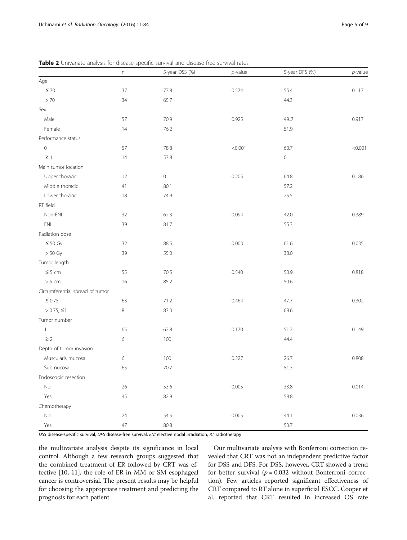|                                 | $\mathsf{n}$ | 5-year DSS (%) | $p$ -value | 5-year DFS (%) | $p$ -value |
|---------------------------------|--------------|----------------|------------|----------------|------------|
| Age                             |              |                |            |                |            |
| $\leq 70$                       | 37           | 77.8           | 0.574      | 55.4           | 0.117      |
| $>70\,$                         | 34           | 65.7           |            | 44.3           |            |
| Sex                             |              |                |            |                |            |
| Male                            | 57           | 70.9           | 0.925      | 49.7           | 0.917      |
| Female                          | 14           | 76.2           |            | 51.9           |            |
| Performance status              |              |                |            |                |            |
| $\hbox{O}$                      | 57           | 78.8           | < 0.001    | 60.7           | < 0.001    |
| $\geq$ 1                        | 14           | 53.8           |            | 0              |            |
| Main tumor location             |              |                |            |                |            |
| Upper thoracic                  | 12           | $\circ$        | 0.205      | 64.8           | 0.186      |
| Middle thoracic                 | 41           | 80.1           |            | 57.2           |            |
| Lower thoracic                  | 18           | 74.9           |            | 25.5           |            |
| RT field                        |              |                |            |                |            |
| Non-ENI                         | 32           | 62.3           | 0.094      | 42.0           | 0.389      |
| ENI                             | 39           | 81.7           |            | 55.3           |            |
| Radiation dose                  |              |                |            |                |            |
| $\leq 50$ Gy                    | 32           | 88.5           | 0.003      | 61.6           | 0.035      |
| $> 50$ Gy                       | 39           | 55.0           |            | 38.0           |            |
| Tumor length                    |              |                |            |                |            |
| $\leq 5$ cm                     | 55           | 70.5           | 0.540      | 50.9           | 0.818      |
| > 5 cm                          | 16           | 85.2           |            | 50.6           |            |
| Circumferential spread of tumor |              |                |            |                |            |
| $\leq 0.75$                     | 63           | 71.2           | 0.464      | 47.7           | 0.302      |
| $> 0.75, \le 1$                 | 8            | 83.3           |            | 68.6           |            |
| Tumor number                    |              |                |            |                |            |
| $\mathbf{1}$                    | 65           | 62.8           | 0.170      | 51.2           | 0.149      |
| $\geq 2$                        | 6            | 100            |            | 44.4           |            |
| Depth of tumor invasion         |              |                |            |                |            |
| Muscularis mucosa               | 6            | 100            | 0.227      | 26.7           | 0.808      |
| Submucosa                       | 65           | 70.7           |            | 51.3           |            |
| Endoscopic resection            |              |                |            |                |            |
| $\mathsf{No}$                   | $26\,$       | 53.6           | 0.005      | 33.8           | 0.014      |
| Yes                             | 45           | 82.9           |            | 58.8           |            |
| Chemotherapy                    |              |                |            |                |            |
| $\mathsf{No}$                   | 24           | 54.5           | 0.005      | 44.1           | 0.036      |
| Yes                             | $47\,$       | 80.8           |            | 53.7           |            |

<span id="page-4-0"></span>Table 2 Univariate analysis for disease-specific survival and disease-free survival rates

DSS disease-specific survival, DFS disease-free survival, ENI elective nodal irradiation, RT radiotherapy

the multivariate analysis despite its significance in local control. Although a few research groups suggested that the combined treatment of ER followed by CRT was effective [\[10, 11](#page-7-0)], the role of ER in MM or SM esophageal cancer is controversial. The present results may be helpful for choosing the appropriate treatment and predicting the prognosis for each patient.

Our multivariate analysis with Bonferroni correction revealed that CRT was not an independent predictive factor for DSS and DFS. For DSS, however, CRT showed a trend for better survival  $(p = 0.032$  without Bonferroni correction). Few articles reported significant effectiveness of CRT compared to RT alone in superficial ESCC. Cooper et al. reported that CRT resulted in increased OS rate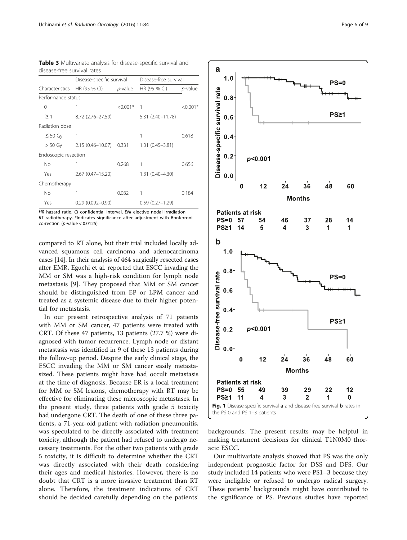| disease-tree survival rates |                           |            |                       |                 |  |
|-----------------------------|---------------------------|------------|-----------------------|-----------------|--|
|                             | Disease-specific survival |            | Disease-free survival |                 |  |
| Characteristics             | HR (95 % CI)              | p-value    | HR (95 % CI)          | <i>p</i> -value |  |
| Performance status          |                           |            |                       |                 |  |
| 0                           | 1                         | $< 0.001*$ | 1                     | $< 0.001*$      |  |
| $\geq$ 1                    | 8.72 (2.76-27.59)         |            | 5.31 (2.40-11.78)     |                 |  |
| Radiation dose              |                           |            |                       |                 |  |
| $\leq 50$ Gy                | 1                         |            | 1                     | 0.618           |  |
| $> 50$ Gy                   | 2.15 (0.46-10.07)         | 0.331      | $1.31(0.45 - 3.81)$   |                 |  |
| Endoscopic resection        |                           |            |                       |                 |  |
| N <sub>o</sub>              |                           | 0.268      | 1                     | 0.656           |  |
| Yes                         | $2.67(0.47 - 15.20)$      |            | 1.31 (0.40-4.30)      |                 |  |
| Chemotherapy                |                           |            |                       |                 |  |
| Νo                          | 1                         | 0.032      | 1                     | 0.184           |  |
| Yes                         | $0.29(0.092 - 0.90)$      |            | $0.59(0.27 - 1.29)$   |                 |  |

<span id="page-5-0"></span>Table 3 Multivariate analysis for disease-specific survival and disease-free survival rates

HR hazard ratio, CI confidential interval, ENI elective nodal irradiation, RT radiotherapy. \*Indicates significance after adjustment with Bonferroni correction (p-value < 0.0125)

compared to RT alone, but their trial included locally advanced squamous cell carcinoma and adenocarcinoma cases [\[14\]](#page-7-0). In their analysis of 464 surgically resected cases after EMR, Eguchi et al. reported that ESCC invading the MM or SM was a high-risk condition for lymph node metastasis [[9\]](#page-7-0). They proposed that MM or SM cancer should be distinguished from EP or LPM cancer and treated as a systemic disease due to their higher potential for metastasis.

In our present retrospective analysis of 71 patients with MM or SM cancer, 47 patients were treated with CRT. Of these 47 patients, 13 patients (27.7 %) were diagnosed with tumor recurrence. Lymph node or distant metastasis was identified in 9 of these 13 patients during the follow-up period. Despite the early clinical stage, the ESCC invading the MM or SM cancer easily metastasized. These patients might have had occult metastasis at the time of diagnosis. Because ER is a local treatment for MM or SM lesions, chemotherapy with RT may be effective for eliminating these microscopic metastases. In the present study, three patients with grade 5 toxicity had undergone CRT. The death of one of these three patients, a 71-year-old patient with radiation pneumonitis, was speculated to be directly associated with treatment toxicity, although the patient had refused to undergo necessary treatments. For the other two patients with grade 5 toxicity, it is difficult to determine whether the CRT was directly associated with their death considering their ages and medical histories. However, there is no doubt that CRT is a more invasive treatment than RT alone. Therefore, the treatment indications of CRT should be decided carefully depending on the patients'



backgrounds. The present results may be helpful in making treatment decisions for clinical T1N0M0 thoracic ESCC.

Our multivariate analysis showed that PS was the only independent prognostic factor for DSS and DFS. Our study included 14 patients who were PS1–3 because they were ineligible or refused to undergo radical surgery. These patients' backgrounds might have contributed to the significance of PS. Previous studies have reported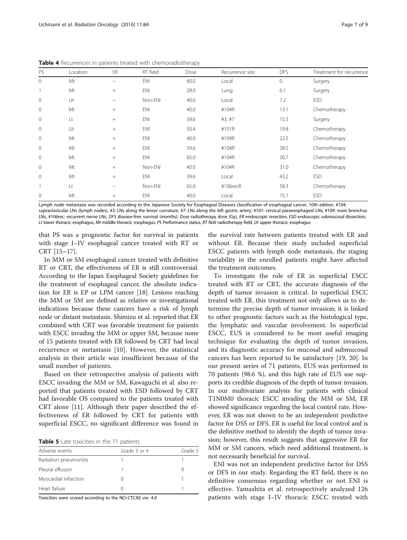| PS             | Location | ER                | RT field   | Dose | Recurrence site | <b>DFS</b>   | Treatment for recurrence |
|----------------|----------|-------------------|------------|------|-----------------|--------------|--------------------------|
| $\circ$        | Mt       |                   | <b>ENI</b> | 60.0 | Local           | $\mathbf{0}$ | Surgery                  |
|                | Mt       | $^{+}$            | <b>ENI</b> | 28.0 | Lung            | 6.1          | Surgery                  |
| 0              | Ut       | $\qquad \qquad -$ | Non-ENI    | 40.0 | Local           | 7.2          | <b>ESD</b>               |
| 0              | Mt       | $^{+}$            | <b>ENI</b> | 40.0 | #104R           | 13.1         | Chemotherapy             |
| 0              | Lt       | $^{+}$            | <b>ENI</b> | 39.6 | #3, #7          | 15.3         | Surgery                  |
| $\overline{0}$ | Ut       | $^{+}$            | <b>ENI</b> | 50.4 | #101R           | 19.8         | Chemotherapy             |
| 0              | Mt       | $^{+}$            | <b>ENI</b> | 40.0 | #109R           | 22.5         | Chemotherapy             |
| 0              | Mt       | $^{+}$            | <b>ENI</b> | 39.6 | #104R           | 28.5         | Chemotherapy             |
| $\circ$        | Mt       | $^{+}$            | <b>ENI</b> | 65.0 | #104R           | 30.7         | Chemotherapy             |
| 0              | Mt       | $+$               | Non-ENI    | 40.0 | #104R           | 31.0         | Chemotherapy             |
| 0              | Mt       | $^{+}$            | <b>ENI</b> | 39.6 | Local           | 43.2         | <b>ESD</b>               |
|                | Lt       | $\qquad \qquad -$ | Non-ENI    | 65.0 | #106recR        | 58.3         | Chemotherapy             |
| 0              | Mt       | $^{+}$            | <b>ENI</b> | 40.0 | Local           | 75.1         | <b>ESD</b>               |

<span id="page-6-0"></span>Table 4 Recurrences in patients treated with chemoradiotherapy

Lymph node metastasis was recorded according to the Japanese Society for Esophageal Diseases classification of esophageal cancer, 10th edition. #104: supraclavicular LNs (lymph nodes), #3: LNs along the lesser curvature, #7: LNs along the left gastric artery, #101: cervical paraesophageal LNs, #109: main bronchus LNs, #106rec: recurrent nerve LNs. DFS disease-free survival (months), Dose radiotherapy dose (Gy), ER endoscopic resection, ESD endoscopic submucosal dissection, Lt lower thoracic esophagus, Mt middle thoracic esophagus, PS Performance status, RT field radiotherapy field, Ut upper thoracic esophagus

that PS was a prognostic factor for survival in patients with stage I–IV esophageal cancer treated with RT or CRT [[15](#page-8-0)–[17](#page-8-0)].

In MM or SM esophageal cancer treated with definitive RT or CRT, the effectiveness of ER is still controversial. According to the Japan Esophageal Society guidelines for the treatment of esophageal cancer, the absolute indication for ER is EP or LPM cancer [\[18\]](#page-8-0). Lesions reaching the MM or SM are defined as relative or investigational indications because these cancers have a risk of lymph node or distant metastasis. Shimizu et al. reported that ER combined with CRT was favorable treatment for patients with ESCC invading the MM or upper SM, because none of 15 patients treated with ER followed by CRT had local recurrence or metastasis [\[10](#page-7-0)]. However, the statistical analysis in their article was insufficient because of the small number of patients.

Based on their retrospective analysis of patients with ESCC invading the MM or SM, Kawaguchi et al. also reported that patients treated with ESD followed by CRT had favorable OS compared to the patients treated with CRT alone [[11\]](#page-7-0). Although their paper described the effectiveness of ER followed by CRT for patients with superficial ESCC, no significant difference was found in

Table 5 Late toxicities in the 71 patients

| Adverse events        | Grade 3 or 4 | Grade 5 |
|-----------------------|--------------|---------|
| Radiation pneumonitis |              |         |
| Pleural effusion      |              |         |
| Myocardial infarction |              |         |
| Heart failure         |              |         |

Toxicities were scored according to the NCI-CTCAE ver. 4.0

the survival rate between patients treated with ER and without ER. Because their study included superficial ESCC patients with lymph node metastasis, the staging variability in the enrolled patients might have affected the treatment outcomes.

To investigate the role of ER in superficial ESCC treated with RT or CRT, the accurate diagnosis of the depth of tumor invasion is critical. In superficial ESCC treated with ER, this treatment not only allows us to determine the precise depth of tumor invasion; it is linked to other prognostic factors such as the histological type, the lymphatic and vascular involvement. In superficial ESCC, EUS is considered to be most useful imaging technique for evaluating the depth of tumor invasion, and its diagnostic accuracy for mucosal and submucosal cancers has been reported to be satisfactory [\[19](#page-8-0), [20\]](#page-8-0). In our present series of 71 patients, EUS was performed in 70 patients (98.6 %), and this high rate of EUS use supports its credible diagnosis of the depth of tumor invasion. In our multivariate analysis for patients with clinical T1N0M0 thoracic ESCC invading the MM or SM, ER showed significance regarding the local control rate. However, ER was not shown to be an independent predictive factor for DSS or DFS. ER is useful for local control and is the definitive method to identify the depth of tumor invasion; however, this result suggests that aggressive ER for MM or SM cancers, which need additional treatment, is not necessarily beneficial for survival.

ENI was not an independent predictive factor for DSS or DFS in our study. Regarding the RT field, there is no definitive consensus regarding whether or not ENI is effective. Yamashita et al. retrospectively analyzed 126 patients with stage I–IV thoracic ESCC treated with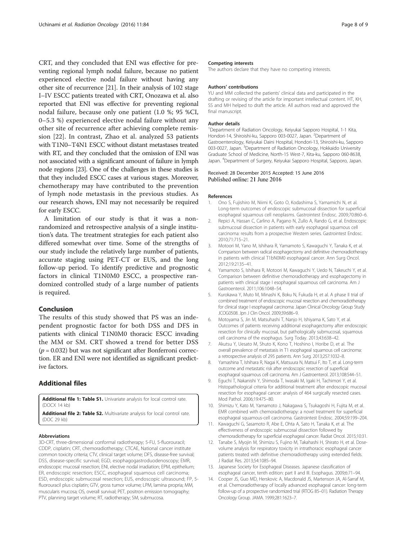<span id="page-7-0"></span>CRT, and they concluded that ENI was effective for preventing regional lymph nodal failure, because no patient experienced elective nodal failure without having any other site of recurrence [\[21](#page-8-0)]. In their analysis of 102 stage I–IV ESCC patients treated with CRT, Onozawa et al. also reported that ENI was effective for preventing regional nodal failure, because only one patient (1.0 %; 95 %CI, 0–5.3 %) experienced elective nodal failure without any other site of recurrence after achieving complete remission [\[22](#page-8-0)]. In contrast, Zhao et al. analyzed 53 patients with T1N0–T4N1 ESCC without distant metastases treated with RT, and they concluded that the omission of ENI was not associated with a significant amount of failure in lymph node regions [[23](#page-8-0)]. One of the challenges in these studies is that they included ESCC cases at various stages. Moreover, chemotherapy may have contributed to the prevention of lymph node metastasis in the previous studies. As our research shows, ENI may not necessarily be required for early ESCC.

A limitation of our study is that it was a nonrandomized and retrospective analysis of a single institution's data. The treatment strategies for each patient also differed somewhat over time. Some of the strengths of our study include the relatively large number of patients, accurate staging using PET-CT or EUS, and the long follow-up period. To identify predictive and prognostic factors in clinical T1N0M0 ESCC, a prospective randomized controlled study of a large number of patients is required.

#### Conclusion

The results of this study showed that PS was an independent prognostic factor for both DSS and DFS in patients with clinical T1N0M0 thoracic ESCC invading the MM or SM. CRT showed a trend for better DSS  $(p = 0.032)$  but was not significant after Bonferroni correction. ER and ENI were not identified as significant predictive factors.

#### Additional files

[Additional file 1: Table S1.](dx.doi.org/10.1186/s13014-016-0660-4) Univariate analysis for local control rate. (DOCX 14 kb)

[Additional file 2: Table S2.](dx.doi.org/10.1186/s13014-016-0660-4) Multivariate analysis for local control rate. (DOC 29 kb)

#### Abbreviations

3D-CRT, three-dimensional conformal radiotherapy; 5-FU, 5-fluorouracil; CDDP, cisplatin; CRT, chemoradiotherapy; CTCAE, National cancer institute common toxicity criteria; CTV, clinical target volume; DFS, disease-free survival; DSS, disease-specific survival; EGD, esophagogastroduodenoscopy; EMR, endoscopic mucosal resection; ENI, elective nodal irradiation; EPM, epithelium; ER, endoscopic resection; ESCC, esophageal squamous cell carcinoma; ESD, endoscopic submucosal resection; EUS, endoscopic ultrasound; FP, 5 fluorouracil plus cisplatin; GTV, gross tumor volume; LPM, lamina propria; MM, muscularis mucosa; OS, overall survival; PET, positron emission tomography; PTV, planning target volume; RT, radiotherapy; SM, submucosa.

#### Competing interests

The authors declare that they have no competing interests.

#### Authors' contributions

YU and MM collected the patients' clinical data and participated in the drafting or revising of the article for important intellectual content. HT, KH, SS and MH helped to draft the article. All authors read and approved the final manuscript.

#### Author details

<sup>1</sup>Department of Radiation Oncology, Keiyukai Sapporo Hospital, 1-1 Kita, Hondori-14, Shiroishi-ku, Sapporo 003-0027, Japan. <sup>2</sup> Department of Gastroenterology, Keiyukai Daini Hospital, Hondori-13, Shiroishi-ku, Sapporo 003-0027, Japan. <sup>3</sup>Department of Radiation Oncology, Hokkaido University Graduate School of Medicine, North-15 West-7, Kita-ku, Sapporo 060-8638, Japan. <sup>4</sup> Department of Surgery, Keiyukai Sapporo Hospital, Sapporo, Japan.

#### Received: 28 December 2015 Accepted: 15 June 2016 Published online: 21 June 2016

#### References

- 1. Ono S, Fujishiro M, Niimi K, Goto O, Kodashima S, Yamamichi N, et al. Long-term outcomes of endoscopic submucosal dissection for superficial esophageal squamous cell neoplasms. Gastrointest Endosc. 2009;70:860–6.
- 2. Repici A, Hassan C, Carlino A, Pagano N, Zullo A, Rando G, et al. Endoscopic submucosal dissection in patients with early esophageal squamous cell carcinoma: results from a prospective Western series. Gastrointest Endosc. 2010;71:715–21.
- 3. Motoori M, Yano M, Ishihara R, Yamamoto S, Kawaguchi Y, Tanaka K, et al. Comparison between radical esophagectomy and definitive chemoradiotherapy in patients with clinical T1bN0M0 esophageal cancer. Ann Surg Oncol. 2012;19:2135–41.
- Yamamoto S, Ishihara R, Motoori M, Kawaguchi Y, Uedo N, Takeuchi Y, et al. Comparison between definitive chemoradiotherapy and esophagectomy in patients with clinical stage I esophageal squamous cell carcinoma. Am J Gastroenterol. 2011;106:1048–54.
- 5. Kurokawa Y, Muto M, Minashi K, Boku N, Fukuda H, et al. A phase II trial of combined treatment of endoscopic mucosal resection and chemoradiotherapy for clinical stage I esophageal carcinoma: Japan Clinical Oncology Group Study JCOG0508. Jpn J Clin Oncol. 2009;39:686–9.
- 6. Motoyama S, Jin M, Matsuhashi T, Nanjo H, Ishiyama K, Sato Y, et al. Outcomes of patients receiving additional esophagectomy after endoscopic resection for clinically mucosal, but pathologically submucosal, squamous cell carcinoma of the esophagus. Surg Today. 2013;43:638–42.
- 7. Akutsu Y, Uesato M, Shuto K, Kono T, Hoshino I, Horibe D, et al. The overall prevalence of metastasis in T1 esophageal squamous cell carcinoma: a retrospective analysis of 295 patients. Ann Surg. 2013;257:1032–8.
- 8. Yamashina T, Ishihara R, Nagai K, Matsuura N, Matsui F, Ito T, et al. Long-term outcome and metastatic risk after endoscopic resection of superficial esophageal squamous cell carcinoma. Am J Gastroenterol. 2013;108:544–51.
- 9. Eguchi T, Nakanishi Y, Shimoda T, Iwasaki M, Igaki H, Tachimori Y, et al. Histopathological criteria for additional treatment after endoscopic mucosal resection for esophageal cancer: analysis of 464 surgically resected cases. Mod Pathol. 2006;19:475–80.
- 10. Shimizu Y, Kato M, Yamamoto J, Nakagawa S, Tsukagoshi H, Fujita M, et al. EMR combined with chemoradiotherapy: a novel treatment for superficial esophageal squamous-cell carcinoma. Gastrointest Endosc. 2004;59:199–204.
- 11. Kawaguchi G, Sasamoto R, Abe E, Ohta A, Sato H, Tanaka K, et al. The effectiveness of endoscopic submucosal dissection followed by chemoradiotherapy for superficial esophageal cancer. Radiat Oncol. 2015;10:31.
- 12. Tanabe S, Myojin M, Shimizu S, Fujino M, Takahashi H, Shirato H, et al. Dosevolume analysis for respiratory toxicity in intrathoracic esophageal cancer patients treated with definitive chemoradiotherapy using extended fields. J Radiat Res. 2013;54:1085–94.
- 13. Japanese Society for Esophageal Diseases. Japanese classification of esophageal cancer, tenth edition: part II and III. Esophagus. 2009;6:71–94.
- 14. Cooper JS, Guo MD, Herskovic A, Macdonald JS, Martenson JA, Al-Sarraf M, et al. Chemoradiotherapy of locally advanced esophageal cancer: long-term follow-up of a prospective randomized trial (RTOG 85–01). Radiation Therapy Oncology Group. JAMA. 1999;281:1623–7.